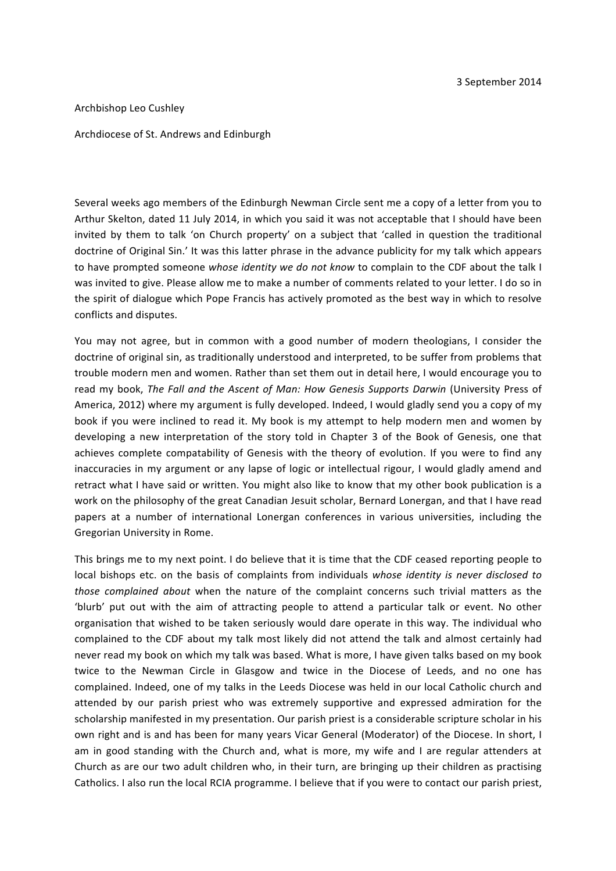## Archbishop Leo Cushley

## Archdiocese of St. Andrews and Edinburgh

Several weeks ago members of the Edinburgh Newman Circle sent me a copy of a letter from you to Arthur Skelton, dated 11 July 2014, in which you said it was not acceptable that I should have been invited by them to talk 'on Church property' on a subject that 'called in question the traditional doctrine of Original Sin.' It was this latter phrase in the advance publicity for my talk which appears to have prompted someone *whose identity we do not know* to complain to the CDF about the talk I was invited to give. Please allow me to make a number of comments related to your letter. I do so in the spirit of dialogue which Pope Francis has actively promoted as the best way in which to resolve conflicts and disputes.

You may not agree, but in common with a good number of modern theologians, I consider the doctrine of original sin, as traditionally understood and interpreted, to be suffer from problems that trouble modern men and women. Rather than set them out in detail here, I would encourage you to read my book, The Fall and the Ascent of Man: How Genesis Supports Darwin (University Press of America, 2012) where my argument is fully developed. Indeed, I would gladly send you a copy of my book if you were inclined to read it. My book is my attempt to help modern men and women by developing a new interpretation of the story told in Chapter 3 of the Book of Genesis, one that achieves complete compatability of Genesis with the theory of evolution. If you were to find any inaccuracies in my argument or any lapse of logic or intellectual rigour, I would gladly amend and retract what I have said or written. You might also like to know that my other book publication is a work on the philosophy of the great Canadian Jesuit scholar, Bernard Lonergan, and that I have read papers at a number of international Lonergan conferences in various universities, including the Gregorian University in Rome.

This brings me to my next point. I do believe that it is time that the CDF ceased reporting people to local bishops etc. on the basis of complaints from individuals whose *identity is never disclosed to those complained about* when the nature of the complaint concerns such trivial matters as the 'blurb' put out with the aim of attracting people to attend a particular talk or event. No other organisation that wished to be taken seriously would dare operate in this way. The individual who complained to the CDF about my talk most likely did not attend the talk and almost certainly had never read my book on which my talk was based. What is more, I have given talks based on my book twice to the Newman Circle in Glasgow and twice in the Diocese of Leeds, and no one has complained. Indeed, one of my talks in the Leeds Diocese was held in our local Catholic church and attended by our parish priest who was extremely supportive and expressed admiration for the scholarship manifested in my presentation. Our parish priest is a considerable scripture scholar in his own right and is and has been for many years Vicar General (Moderator) of the Diocese. In short, I am in good standing with the Church and, what is more, my wife and I are regular attenders at Church as are our two adult children who, in their turn, are bringing up their children as practising Catholics. I also run the local RCIA programme. I believe that if you were to contact our parish priest,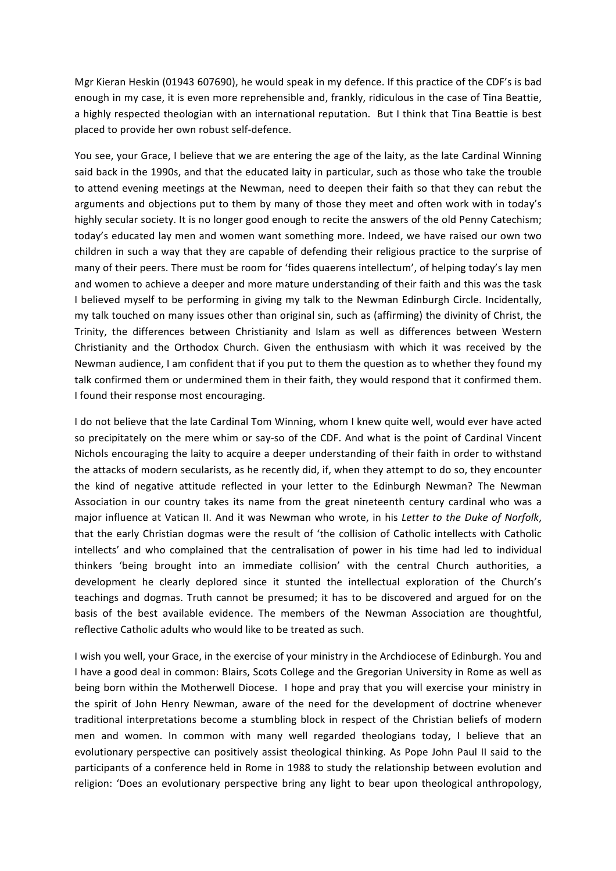Mgr Kieran Heskin (01943 607690), he would speak in my defence. If this practice of the CDF's is bad enough in my case, it is even more reprehensible and, frankly, ridiculous in the case of Tina Beattie, a highly respected theologian with an international reputation. But I think that Tina Beattie is best placed to provide her own robust self-defence.

You see, your Grace, I believe that we are entering the age of the laity, as the late Cardinal Winning said back in the 1990s, and that the educated laity in particular, such as those who take the trouble to attend evening meetings at the Newman, need to deepen their faith so that they can rebut the arguments and objections put to them by many of those they meet and often work with in today's highly secular society. It is no longer good enough to recite the answers of the old Penny Catechism; today's educated lay men and women want something more. Indeed, we have raised our own two children in such a way that they are capable of defending their religious practice to the surprise of many of their peers. There must be room for 'fides quaerens intellectum', of helping today's lay men and women to achieve a deeper and more mature understanding of their faith and this was the task I believed myself to be performing in giving my talk to the Newman Edinburgh Circle. Incidentally, my talk touched on many issues other than original sin, such as (affirming) the divinity of Christ, the Trinity, the differences between Christianity and Islam as well as differences between Western Christianity and the Orthodox Church. Given the enthusiasm with which it was received by the Newman audience, I am confident that if you put to them the question as to whether they found my talk confirmed them or undermined them in their faith, they would respond that it confirmed them. I found their response most encouraging.

I do not believe that the late Cardinal Tom Winning, whom I knew quite well, would ever have acted so precipitately on the mere whim or say-so of the CDF. And what is the point of Cardinal Vincent Nichols encouraging the laity to acquire a deeper understanding of their faith in order to withstand the attacks of modern secularists, as he recently did, if, when they attempt to do so, they encounter the kind of negative attitude reflected in your letter to the Edinburgh Newman? The Newman Association in our country takes its name from the great nineteenth century cardinal who was a major influence at Vatican II. And it was Newman who wrote, in his *Letter to the Duke of Norfolk*, that the early Christian dogmas were the result of 'the collision of Catholic intellects with Catholic intellects' and who complained that the centralisation of power in his time had led to individual thinkers 'being brought into an immediate collision' with the central Church authorities, a development he clearly deplored since it stunted the intellectual exploration of the Church's teachings and dogmas. Truth cannot be presumed; it has to be discovered and argued for on the basis of the best available evidence. The members of the Newman Association are thoughtful, reflective Catholic adults who would like to be treated as such.

I wish you well, your Grace, in the exercise of your ministry in the Archdiocese of Edinburgh. You and I have a good deal in common: Blairs, Scots College and the Gregorian University in Rome as well as being born within the Motherwell Diocese. I hope and pray that you will exercise your ministry in the spirit of John Henry Newman, aware of the need for the development of doctrine whenever traditional interpretations become a stumbling block in respect of the Christian beliefs of modern men and women. In common with many well regarded theologians today, I believe that an evolutionary perspective can positively assist theological thinking. As Pope John Paul II said to the participants of a conference held in Rome in 1988 to study the relationship between evolution and religion: 'Does an evolutionary perspective bring any light to bear upon theological anthropology,